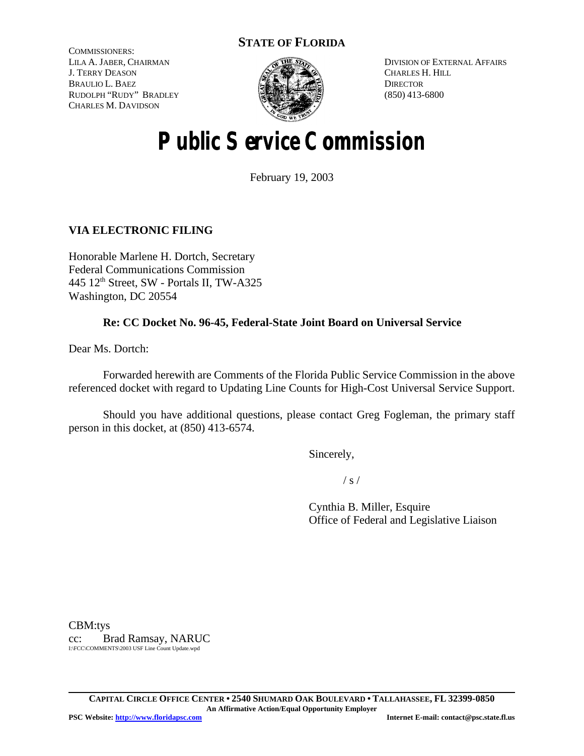# **STATE OF FLORIDA**

COMMISSIONERS: LILA A. JABER, CHAIRMAN J. TERRY DEASON BRAULIO L. BAEZ RUDOLPH "RUDY" BRADLEY CHARLES M. DAVIDSON



DIVISION OF EXTERNAL AFFAIRS CHARLES H. HILL **DIRECTOR** (850) 413-6800

# **Public Service Commission**

February 19, 2003

# **VIA ELECTRONIC FILING**

Honorable Marlene H. Dortch, Secretary Federal Communications Commission 445 12th Street, SW - Portals II, TW-A325 Washington, DC 20554

## **Re: CC Docket No. 96-45, Federal-State Joint Board on Universal Service**

Dear Ms. Dortch:

Forwarded herewith are Comments of the Florida Public Service Commission in the above referenced docket with regard to Updating Line Counts for High-Cost Universal Service Support.

Should you have additional questions, please contact Greg Fogleman, the primary staff person in this docket, at (850) 413-6574.

Sincerely,

 $/ s /$ 

Cynthia B. Miller, Esquire Office of Federal and Legislative Liaison

CBM:tys cc: Brad Ramsay, NARUC I:\FCC\COMMENTS\2003 USF Line Count Update.wpd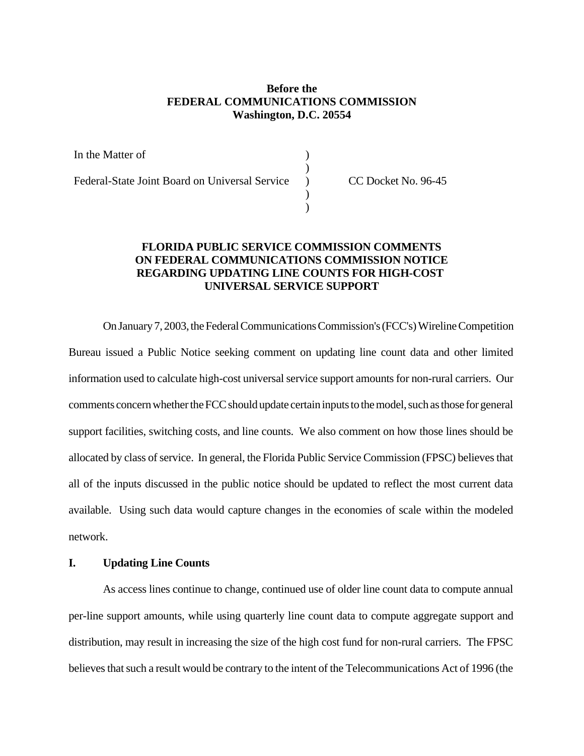## **Before the FEDERAL COMMUNICATIONS COMMISSION Washington, D.C. 20554**

) )  $\lambda$ ) )

In the Matter of

Federal-State Joint Board on Universal Service

CC Docket No. 96-45

## **FLORIDA PUBLIC SERVICE COMMISSION COMMENTS ON FEDERAL COMMUNICATIONS COMMISSION NOTICE REGARDING UPDATING LINE COUNTS FOR HIGH-COST UNIVERSAL SERVICE SUPPORT**

On January 7, 2003, the Federal Communications Commission's (FCC's) Wireline Competition Bureau issued a Public Notice seeking comment on updating line count data and other limited information used to calculate high-cost universal service support amounts for non-rural carriers. Our comments concern whether the FCC should update certain inputs to the model, such as those for general support facilities, switching costs, and line counts. We also comment on how those lines should be allocated by class of service. In general, the Florida Public Service Commission (FPSC) believes that all of the inputs discussed in the public notice should be updated to reflect the most current data available. Using such data would capture changes in the economies of scale within the modeled network.

## **I. Updating Line Counts**

As access lines continue to change, continued use of older line count data to compute annual per-line support amounts, while using quarterly line count data to compute aggregate support and distribution, may result in increasing the size of the high cost fund for non-rural carriers. The FPSC believes that such a result would be contrary to the intent of the Telecommunications Act of 1996 (the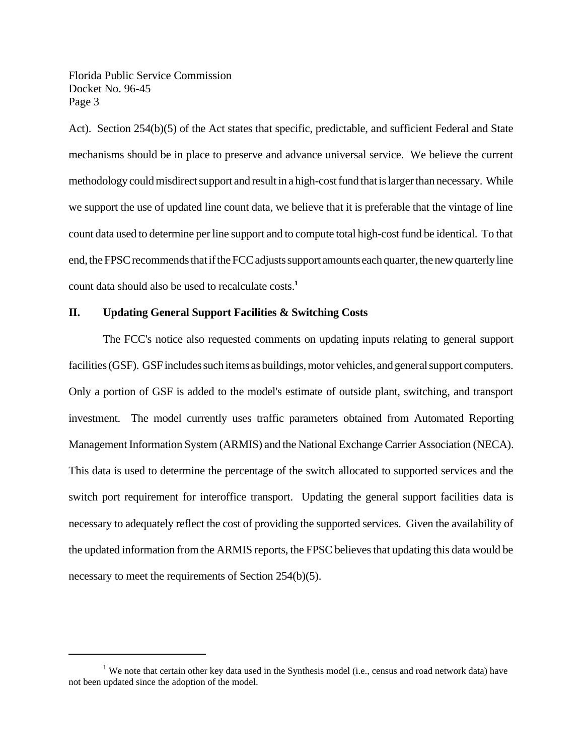Florida Public Service Commission Docket No. 96-45 Page 3

Act). Section 254(b)(5) of the Act states that specific, predictable, and sufficient Federal and State mechanisms should be in place to preserve and advance universal service. We believe the current methodology could misdirect support and result in a high-cost fund that is larger than necessary. While we support the use of updated line count data, we believe that it is preferable that the vintage of line count data used to determine per line support and to compute total high-cost fund be identical. To that end, the FPSC recommends that if the FCC adjusts support amounts each quarter, the new quarterly line count data should also be used to recalculate costs.**<sup>1</sup>**

## **II. Updating General Support Facilities & Switching Costs**

The FCC's notice also requested comments on updating inputs relating to general support facilities (GSF). GSF includes such items as buildings, motor vehicles, and general support computers. Only a portion of GSF is added to the model's estimate of outside plant, switching, and transport investment. The model currently uses traffic parameters obtained from Automated Reporting Management Information System (ARMIS) and the National Exchange Carrier Association (NECA). This data is used to determine the percentage of the switch allocated to supported services and the switch port requirement for interoffice transport. Updating the general support facilities data is necessary to adequately reflect the cost of providing the supported services. Given the availability of the updated information from the ARMIS reports, the FPSC believes that updating this data would be necessary to meet the requirements of Section 254(b)(5).

<sup>&</sup>lt;sup>1</sup> We note that certain other key data used in the Synthesis model (i.e., census and road network data) have not been updated since the adoption of the model.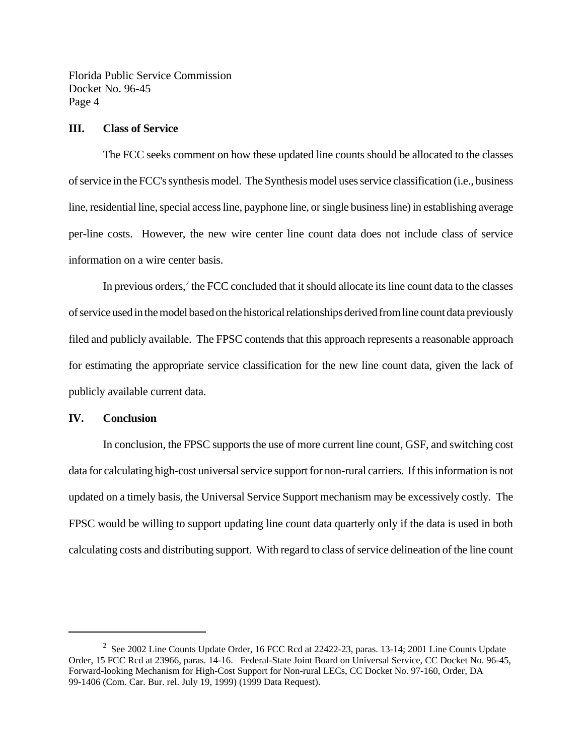Florida Public Service Commission Docket No. 96-45 Page 4

#### **III. Class of Service**

The FCC seeks comment on how these updated line counts should be allocated to the classes of service in the FCC's synthesis model. The Synthesis model uses service classification (i.e., business line, residential line, special access line, payphone line, or single business line) in establishing average per-line costs. However, the new wire center line count data does not include class of service information on a wire center basis.

In previous orders, $<sup>2</sup>$  the FCC concluded that it should allocate its line count data to the classes</sup> of service used in the model based on the historical relationships derived from line count data previously filed and publicly available. The FPSC contends that this approach represents a reasonable approach for estimating the appropriate service classification for the new line count data, given the lack of publicly available current data.

#### **IV. Conclusion**

In conclusion, the FPSC supports the use of more current line count, GSF, and switching cost data for calculating high-cost universal service support for non-rural carriers. If this information is not updated on a timely basis, the Universal Service Support mechanism may be excessively costly. The FPSC would be willing to support updating line count data quarterly only if the data is used in both calculating costs and distributing support. With regard to class of service delineation of the line count

<sup>&</sup>lt;sup>2</sup> See 2002 Line Counts Update Order, 16 FCC Rcd at 22422-23, paras. 13-14; 2001 Line Counts Update Order, 15 FCC Rcd at 23966, paras. 14-16. Federal-State Joint Board on Universal Service, CC Docket No. 96-45, Forward-looking Mechanism for High-Cost Support for Non-rural LECs, CC Docket No. 97-160, Order, DA 99-1406 (Com. Car. Bur. rel. July 19, 1999) (1999 Data Request).